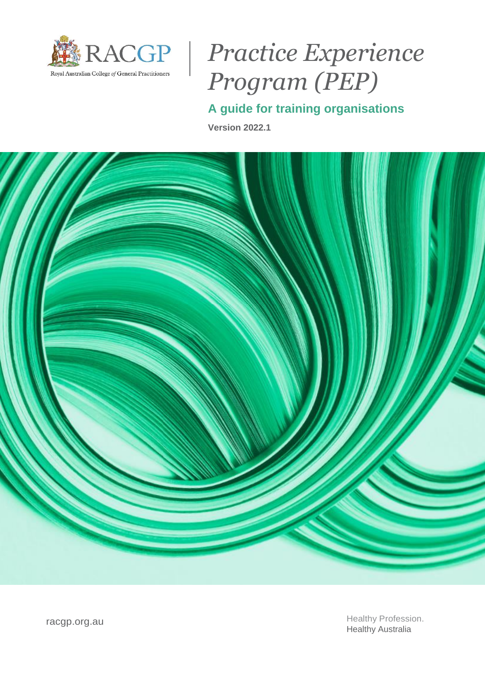

# *Practice Experience Program (PEP)*

**A guide for training organisations** 

**Version 2022.1**



racgp.org.au Healthy Profession. Healthy Australia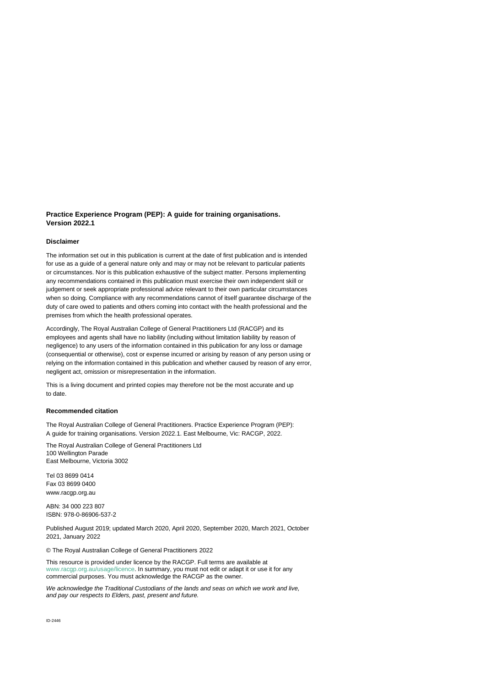#### **Practice Experience Program (PEP): A guide for training organisations. Version 2022.1**

#### **Disclaimer**

The information set out in this publication is current at the date of first publication and is intended for use as a guide of a general nature only and may or may not be relevant to particular patients or circumstances. Nor is this publication exhaustive of the subject matter. Persons implementing any recommendations contained in this publication must exercise their own independent skill or judgement or seek appropriate professional advice relevant to their own particular circumstances when so doing. Compliance with any recommendations cannot of itself guarantee discharge of the duty of care owed to patients and others coming into contact with the health professional and the premises from which the health professional operates.

Accordingly, The Royal Australian College of General Practitioners Ltd (RACGP) and its employees and agents shall have no liability (including without limitation liability by reason of negligence) to any users of the information contained in this publication for any loss or damage (consequential or otherwise), cost or expense incurred or arising by reason of any person using or relying on the information contained in this publication and whether caused by reason of any error, negligent act, omission or misrepresentation in the information.

This is a living document and printed copies may therefore not be the most accurate and up to date.

#### **Recommended citation**

The Royal Australian College of General Practitioners. Practice Experience Program (PEP): A guide for training organisations. Version 2022.1. East Melbourne, Vic: RACGP, 2022.

The Royal Australian College of General Practitioners Ltd 100 Wellington Parade East Melbourne, Victoria 3002

Tel 03 8699 0414 Fax 03 8699 0400 www.racgp.org.au

ABN: 34 000 223 807 ISBN: 978-0-86906-537-2

Published August 2019; updated March 2020, April 2020, September 2020, March 2021, October 2021, January 2022

© The Royal Australian College of General Practitioners 2022

This resource is provided under licence by the RACGP. Full terms are available at [www.racgp.org.au/usage/licence.](http://www.racgp.org.au/usage/licence) In summary, you must not edit or adapt it or use it for any commercial purposes. You must acknowledge the RACGP as the owner.

*We acknowledge the Traditional Custodians of the lands and seas on which we work and live, and pay our respects to Elders, past, present and future.*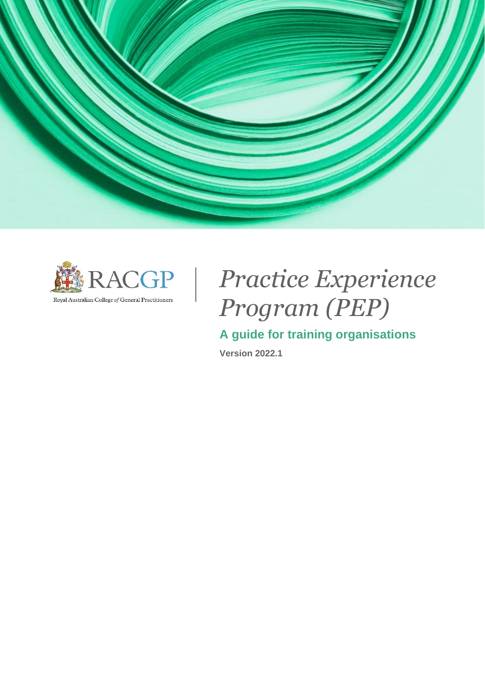



# *Practice Experience Program (PEP)*

**A guide for training organisations** 

**Version 2022.1**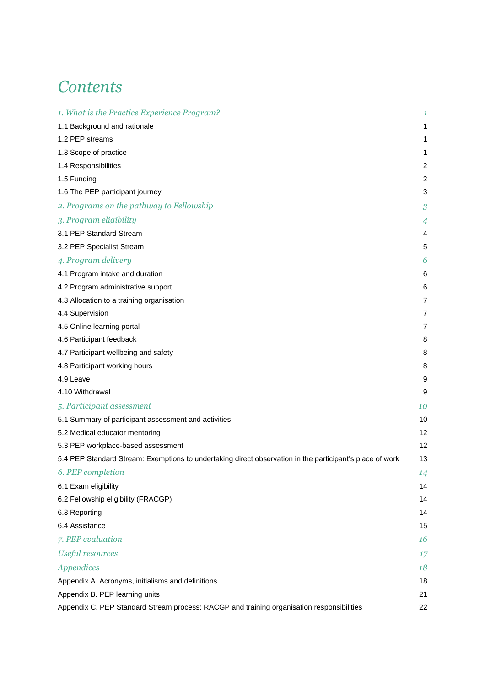# *Contents*

| 1. What is the Practice Experience Program?                                                              | 1              |
|----------------------------------------------------------------------------------------------------------|----------------|
| 1.1 Background and rationale                                                                             | 1              |
| 1.2 PEP streams                                                                                          | 1              |
| 1.3 Scope of practice                                                                                    | 1              |
| 1.4 Responsibilities                                                                                     | $\overline{2}$ |
| 1.5 Funding                                                                                              | 2              |
| 1.6 The PEP participant journey                                                                          | 3              |
| 2. Programs on the pathway to Fellowship                                                                 | 3              |
| 3. Program eligibility                                                                                   | 4              |
| 3.1 PEP Standard Stream                                                                                  | 4              |
| 3.2 PEP Specialist Stream                                                                                | 5              |
| 4. Program delivery                                                                                      | 6              |
| 4.1 Program intake and duration                                                                          | 6              |
| 4.2 Program administrative support                                                                       | 6              |
| 4.3 Allocation to a training organisation                                                                | 7              |
| 4.4 Supervision                                                                                          | 7              |
| 4.5 Online learning portal                                                                               | 7              |
| 4.6 Participant feedback                                                                                 | 8              |
| 4.7 Participant wellbeing and safety                                                                     | 8              |
| 4.8 Participant working hours                                                                            | 8              |
| 4.9 Leave                                                                                                | 9              |
| 4.10 Withdrawal                                                                                          | 9              |
| 5. Participant assessment                                                                                | 10             |
| 5.1 Summary of participant assessment and activities                                                     | 10             |
| 5.2 Medical educator mentoring                                                                           | 12             |
| 5.3 PEP workplace-based assessment                                                                       | 12             |
| 5.4 PEP Standard Stream: Exemptions to undertaking direct observation in the participant's place of work | 13             |
| 6. PEP completion                                                                                        | 14             |
| 6.1 Exam eligibility                                                                                     | 14             |
| 6.2 Fellowship eligibility (FRACGP)                                                                      | 14             |
| 6.3 Reporting                                                                                            | 14             |
| 6.4 Assistance                                                                                           | 15             |
| 7. PEP evaluation                                                                                        | 16             |
| <b>Useful resources</b>                                                                                  | 17             |
| <b>Appendices</b>                                                                                        | 18             |
| Appendix A. Acronyms, initialisms and definitions                                                        | 18             |
| Appendix B. PEP learning units                                                                           | 21             |
| Appendix C. PEP Standard Stream process: RACGP and training organisation responsibilities                | 22             |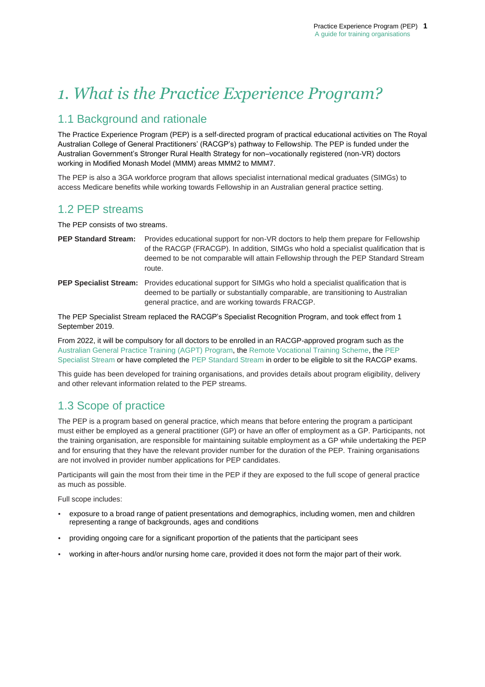# <span id="page-6-0"></span>*1. What is the Practice Experience Program?*

# <span id="page-6-1"></span>1.1 Background and rationale

The Practice Experience Program (PEP) is a self-directed program of practical educational activities on The Royal Australian College of General Practitioners' (RACGP's) pathway to Fellowship. The PEP is funded under the Australian Government's Stronger Rural Health Strategy for non–vocationally registered (non-VR) doctors working in Modified Monash Model (MMM) areas MMM2 to MMM7.

The PEP is also a 3GA workforce program that allows specialist international medical graduates (SIMGs) to access Medicare benefits while working towards Fellowship in an Australian general practice setting.

### <span id="page-6-2"></span>1.2 PEP streams

The PEP consists of two streams.

| <b>PEP Standard Stream:</b> | Provides educational support for non-VR doctors to help them prepare for Fellowship<br>of the RACGP (FRACGP). In addition, SIMGs who hold a specialist qualification that is<br>deemed to be not comparable will attain Fellowship through the PEP Standard Stream<br>route. |
|-----------------------------|------------------------------------------------------------------------------------------------------------------------------------------------------------------------------------------------------------------------------------------------------------------------------|
|                             | <b>PEP Specialist Stream:</b> Provides educational support for SIMGs who hold a specialist qualification that is<br>deemed to be partially or substantially comparable, are transitioning to Australian<br>general practice, and are working towards FRACGP.                 |

The PEP Specialist Stream replaced the RACGP's Specialist Recognition Program, and took effect from 1 September 2019.

From 2022, it will be compulsory for all doctors to be enrolled in an RACGP-approved program such as the [Australian General Practice Training \(AGPT\)](https://www.racgp.org.au/education/registrars/fellowship-pathways/australian-general-practice-training-program-agpt) Program, th[e Remote Vocational Training Scheme,](https://www.racgp.org.au/education/students/starting-the-gp-journey/remote-vocational-training-scheme-rvts) the [PEP](https://www.racgp.org.au/education/imgs/fellowship-pathways/fellowship-programs-for-imgs/practice-experience-program/practice-experience-program-specialist-stream) [Specialist Stream](https://www.racgp.org.au/education/imgs/fellowship-pathways/fellowship-programs-for-imgs/practice-experience-program/practice-experience-program-specialist-stream) or have completed the PEP [Standard Stream](https://www.racgp.org.au/education/imgs/fellowship-pathways/fellowship-programs-for-imgs/practice-experience-program/practice-experience-program-standard-stream) in order to be eligible to sit the RACGP exams.

This guide has been developed for training organisations, and provides details about program eligibility, delivery and other relevant information related to the PEP streams.

# <span id="page-6-3"></span>1.3 Scope of practice

The PEP is a program based on general practice, which means that before entering the program a participant must either be employed as a general practitioner (GP) or have an offer of employment as a GP. Participants, not the training organisation, are responsible for maintaining suitable employment as a GP while undertaking the PEP and for ensuring that they have the relevant provider number for the duration of the PEP. Training organisations are not involved in provider number applications for PEP candidates.

Participants will gain the most from their time in the PEP if they are exposed to the full scope of general practice as much as possible.

Full scope includes:

- exposure to a broad range of patient presentations and demographics, including women, men and children representing a range of backgrounds, ages and conditions
- providing ongoing care for a significant proportion of the patients that the participant sees
- <span id="page-6-4"></span>• working in after-hours and/or nursing home care, provided it does not form the major part of their work.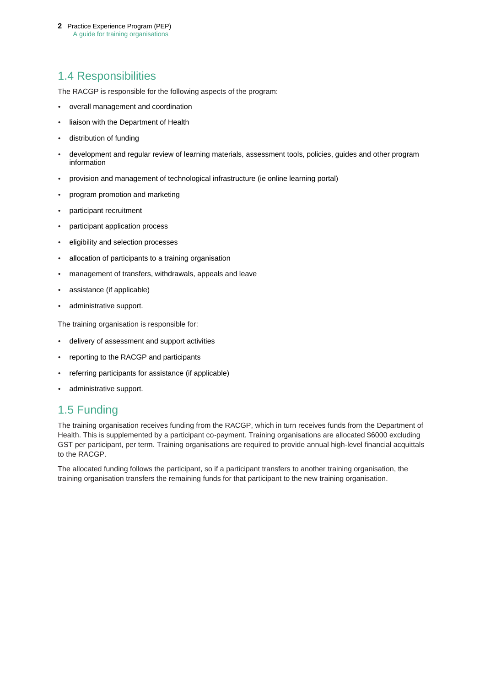**2** Practice Experience Program (PEP) A guide for training organisations

# 1.4 Responsibilities

The RACGP is responsible for the following aspects of the program:

- overall management and coordination
- liaison with the Department of Health
- distribution of funding
- development and regular review of learning materials, assessment tools, policies, guides and other program information
- provision and management of technological infrastructure (ie online learning portal)
- program promotion and marketing
- participant recruitment
- participant application process
- eligibility and selection processes
- allocation of participants to a training organisation
- management of transfers, withdrawals, appeals and leave
- assistance (if applicable)
- administrative support.

The training organisation is responsible for:

- delivery of assessment and support activities
- reporting to the RACGP and participants
- referring participants for assistance (if applicable)
- <span id="page-7-0"></span>administrative support.

### 1.5 Funding

The training organisation receives funding from the RACGP, which in turn receives funds from the Department of Health. This is supplemented by a participant co-payment. Training organisations are allocated \$6000 excluding GST per participant, per term. Training organisations are required to provide annual high-level financial acquittals to the RACGP.

The allocated funding follows the participant, so if a participant transfers to another training organisation, the training organisation transfers the remaining funds for that participant to the new training organisation.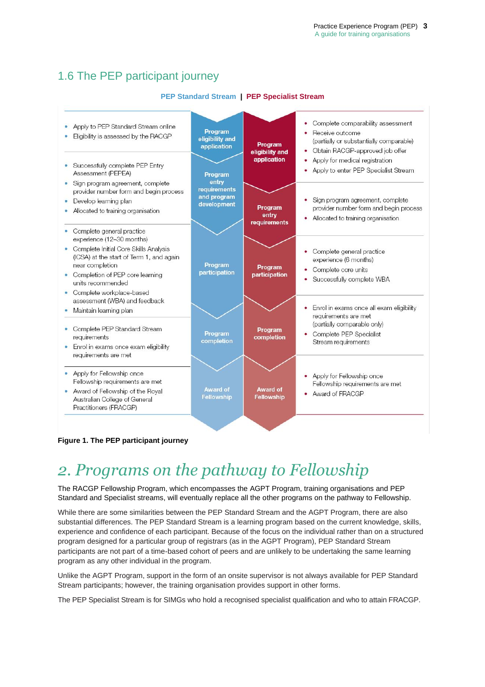# <span id="page-8-0"></span>1.6 The PEP participant journey

#### **PEP Standard Stream | PEP Specialist Stream**



#### **Figure 1. The PEP participant journey**

# <span id="page-8-1"></span>*2. Programs on the pathway to Fellowship*

The RACGP Fellowship Program, which encompasses the AGPT Program, training organisations and PEP Standard and Specialist streams, will eventually replace all the other programs on the pathway to Fellowship.

While there are some similarities between the PEP Standard Stream and the AGPT Program, there are also substantial differences. The PEP Standard Stream is a learning program based on the current knowledge, skills, experience and confidence of each participant. Because of the focus on the individual rather than on a structured program designed for a particular group of registrars (as in the AGPT Program), PEP Standard Stream participants are not part of a time-based cohort of peers and are unlikely to be undertaking the same learning program as any other individual in the program.

Unlike the AGPT Program, support in the form of an onsite supervisor is not always available for PEP Standard Stream participants; however, the training organisation provides support in other forms.

The PEP Specialist Stream is for SIMGs who hold a recognised specialist qualification and who to attain FRACGP.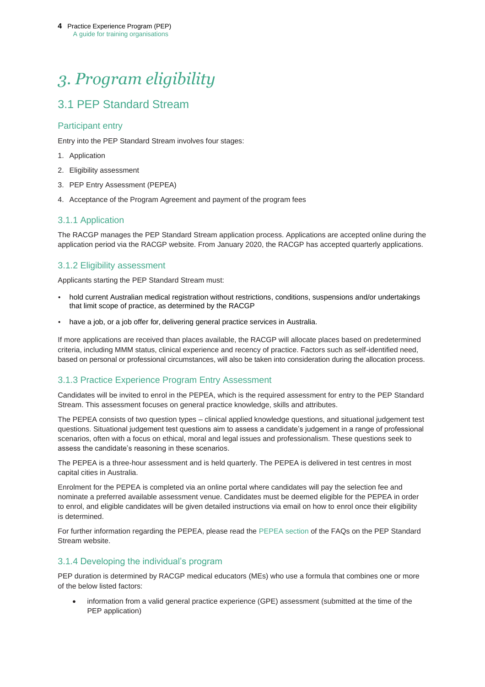# <span id="page-9-0"></span>*3. Program eligibility*

# <span id="page-9-1"></span>3.1 PEP Standard Stream

#### Participant entry

Entry into the PEP Standard Stream involves four stages:

- 1. Application
- 2. Eligibility assessment
- 3. PEP Entry Assessment (PEPEA)
- 4. Acceptance of the Program Agreement and payment of the program fees

#### 3.1.1 Application

The RACGP manages the PEP Standard Stream application process. Applications are accepted online during the application period via the RACGP website. From January 2020, the RACGP has accepted quarterly applications.

#### 3.1.2 Eligibility assessment

Applicants starting the PEP Standard Stream must:

- hold current Australian medical registration without restrictions, conditions, suspensions and/or undertakings that limit scope of practice, as determined by the RACGP
- have a job, or a job offer for, delivering general practice services in Australia.

If more applications are received than places available, the RACGP will allocate places based on predetermined criteria, including MMM status, clinical experience and recency of practice. Factors such as self-identified need, based on personal or professional circumstances, will also be taken into consideration during the allocation process.

#### 3.1.3 Practice Experience Program Entry Assessment

Candidates will be invited to enrol in the PEPEA, which is the required assessment for entry to the PEP Standard Stream. This assessment focuses on general practice knowledge, skills and attributes.

The PEPEA consists of two question types – clinical applied knowledge questions, and situational judgement test questions. Situational judgement test questions aim to assess a candidate's judgement in a range of professional scenarios, often with a focus on ethical, moral and legal issues and professionalism. These questions seek to assess the candidate's reasoning in these scenarios.

The PEPEA is a three-hour assessment and is held quarterly. The PEPEA is delivered in test centres in most capital cities in Australia.

Enrolment for the PEPEA is completed via an online portal where candidates will pay the selection fee and nominate a preferred available assessment venue. Candidates must be deemed eligible for the PEPEA in order to enrol, and eligible candidates will be given detailed instructions via email on how to enrol once their eligibility is determined.

For further information regarding the PEPEA, please read the [PEPEA section](https://www.racgp.org.au/education/imgs/fellowship-pathways/fellowship-programs-for-imgs/practice-experience-program/practice-experience-program-standard-stream/faqs/eligible-for-the-pep) of the FAQs on the PEP Standard Stream website.

#### 3.1.4 Developing the individual's program

PEP duration is determined by RACGP medical educators (MEs) who use a formula that combines one or more of the below listed factors:

• information from a valid general practice experience (GPE) assessment (submitted at the time of the PEP application)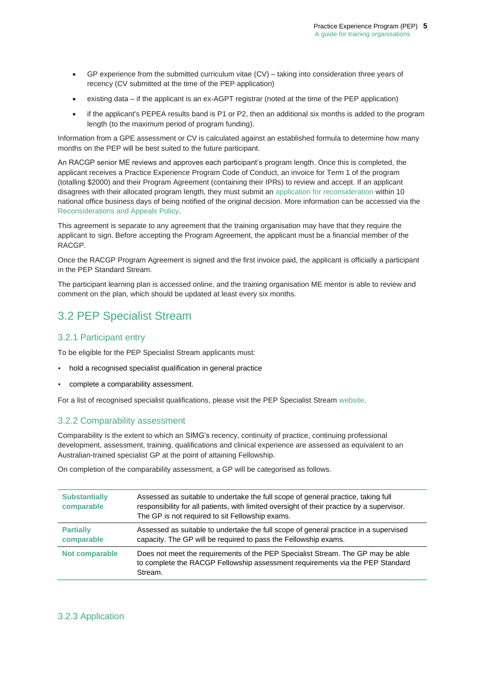- GP experience from the submitted curriculum vitae (CV) taking into consideration three years of recency (CV submitted at the time of the PEP application)
- existing data if the applicant is an ex-AGPT registrar (noted at the time of the PEP application)
- if the applicant's PEPEA results band is P1 or P2, then an additional six months is added to the program length (to the maximum period of program funding).

Information from a GPE assessment or CV is calculated against an established formula to determine how many months on the PEP will be best suited to the future participant.

An RACGP senior ME reviews and approves each participant's program length. Once this is completed, the applicant receives a Practice Experience Program Code of Conduct, an invoice for Term 1 of the program (totalling \$2000) and their Program Agreement (containing their IPRs) to review and accept. If an applicant disagrees with their allocated program length, they must submit an [application for reconsideration](https://www.racgp.org.au/FSDEDEV/media/documents/RACGP/Policies/Fellowship/Fellowship%20forms/Application-for-Reconsideration-September-2017.pdf) within 10 national office business days of being notified of the original decision. More information can be accessed via the [Reconsiderations and Appeals Policy.](https://www.racgp.org.au/education/registrars/fellowship-pathways/policy-framework/guidance-documents/reconsiderations-and-appeals)

This agreement is separate to any agreement that the training organisation may have that they require the applicant to sign. Before accepting the Program Agreement, the applicant must be a financial member of the RACGP.

Once the RACGP Program Agreement is signed and the first invoice paid, the applicant is officially a participant in the PEP Standard Stream.

The participant learning plan is accessed online, and the training organisation ME mentor is able to review and comment on the plan, which should be updated at least every six months.

# <span id="page-10-0"></span>3.2 PEP Specialist Stream

#### 3.2.1 Participant entry

To be eligible for the PEP Specialist Stream applicants must:

- hold a recognised specialist qualification in general practice
- complete a comparability assessment.

For a list of recognised specialist qualifications, please visit the PEP Specialist Stream [website.](https://www.racgp.org.au/education/imgs/fellowship-pathways/fellowship-programs-for-imgs/practice-experience-program/practice-experience-program-specialist-stream/eligibility)

#### 3.2.2 Comparability assessment

Comparability is the extent to which an SIMG's recency, continuity of practice, continuing professional development, assessment, training, qualifications and clinical experience are assessed as equivalent to an Australian-trained specialist GP at the point of attaining Fellowship.

On completion of the comparability assessment, a GP will be categorised as follows.

| <b>Substantially</b><br>comparable | Assessed as suitable to undertake the full scope of general practice, taking full<br>responsibility for all patients, with limited oversight of their practice by a supervisor.<br>The GP is not required to sit Fellowship exams. |
|------------------------------------|------------------------------------------------------------------------------------------------------------------------------------------------------------------------------------------------------------------------------------|
| <b>Partially</b><br>comparable     | Assessed as suitable to undertake the full scope of general practice in a supervised<br>capacity. The GP will be required to pass the Fellowship exams.                                                                            |
| <b>Not comparable</b>              | Does not meet the requirements of the PEP Specialist Stream. The GP may be able<br>to complete the RACGP Fellowship assessment requirements via the PEP Standard<br>Stream.                                                        |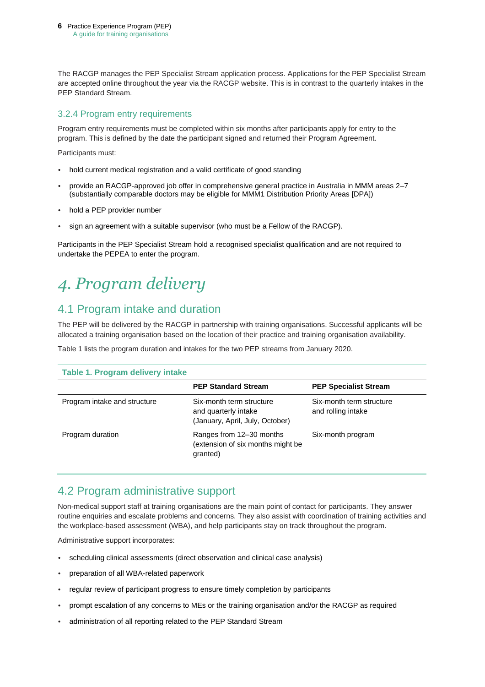**6** Practice Experience Program (PEP) A guide for training organisations

The RACGP manages the PEP Specialist Stream application process. Applications for the PEP Specialist Stream are accepted online throughout the year via the RACGP website. This is in contrast to the quarterly intakes in the PEP Standard Stream.

#### 3.2.4 Program entry requirements

Program entry requirements must be completed within six months after participants apply for entry to the program. This is defined by the date the participant signed and returned their Program Agreement.

Participants must:

- hold current medical registration and a valid certificate of good standing
- provide an RACGP-approved job offer in comprehensive general practice in Australia in MMM areas 2–7 (substantially comparable doctors may be eligible for MMM1 Distribution Priority Areas [DPA])
- hold a PEP provider number
- sign an agreement with a suitable supervisor (who must be a Fellow of the RACGP).

Participants in the PEP Specialist Stream hold a recognised specialist qualification and are not required to undertake the PEPEA to enter the program.

# <span id="page-11-0"></span>*4. Program delivery*

### <span id="page-11-1"></span>4.1 Program intake and duration

The PEP will be delivered by the RACGP in partnership with training organisations. Successful applicants will be allocated a training organisation based on the location of their practice and training organisation availability.

Table 1 lists the program duration and intakes for the two PEP streams from January 2020.

| Table 1. Program delivery intake |                                                                                     |                                                |
|----------------------------------|-------------------------------------------------------------------------------------|------------------------------------------------|
|                                  | <b>PEP Standard Stream</b>                                                          | <b>PEP Specialist Stream</b>                   |
| Program intake and structure     | Six-month term structure<br>and quarterly intake<br>(January, April, July, October) | Six-month term structure<br>and rolling intake |
| Program duration                 | Ranges from 12-30 months<br>(extension of six months might be<br>granted)           | Six-month program                              |

### <span id="page-11-2"></span>4.2 Program administrative support

Non-medical support staff at training organisations are the main point of contact for participants. They answer routine enquiries and escalate problems and concerns. They also assist with coordination of training activities and the workplace-based assessment (WBA), and help participants stay on track throughout the program.

Administrative support incorporates:

- scheduling clinical assessments (direct observation and clinical case analysis)
- preparation of all WBA-related paperwork
- regular review of participant progress to ensure timely completion by participants
- prompt escalation of any concerns to MEs or the training organisation and/or the RACGP as required
- administration of all reporting related to the PEP Standard Stream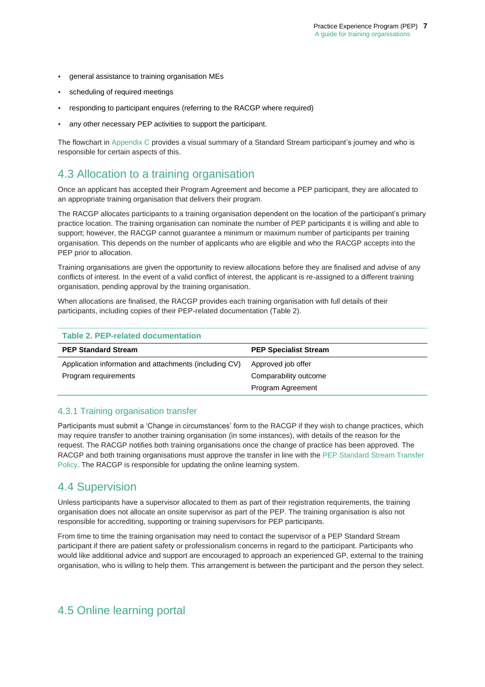- general assistance to training organisation MEs
- scheduling of required meetings
- responding to participant enquires (referring to the RACGP where required)
- any other necessary PEP activities to support the participant.

The flowchart in [Appendix C](#page-27-0) provides a visual summary of a Standard Stream participant's journey and who is responsible for certain aspects of this.

# <span id="page-12-0"></span>4.3 Allocation to a training organisation

Once an applicant has accepted their Program Agreement and become a PEP participant, they are allocated to an appropriate training organisation that delivers their program.

The RACGP allocates participants to a training organisation dependent on the location of the participant's primary practice location. The training organisation can nominate the number of PEP participants it is willing and able to support; however, the RACGP cannot guarantee a minimum or maximum number of participants per training organisation. This depends on the number of applicants who are eligible and who the RACGP accepts into the PEP prior to allocation.

Training organisations are given the opportunity to review allocations before they are finalised and advise of any conflicts of interest. In the event of a valid conflict of interest, the applicant is re-assigned to a different training organisation, pending approval by the training organisation.

When allocations are finalised, the RACGP provides each training organisation with full details of their participants, including copies of their PEP-related documentation (Table 2).

| Table 2. PEP-related documentation                     |                              |  |  |
|--------------------------------------------------------|------------------------------|--|--|
| <b>PEP Standard Stream</b>                             | <b>PEP Specialist Stream</b> |  |  |
| Application information and attachments (including CV) | Approved job offer           |  |  |
| Program requirements                                   | Comparability outcome        |  |  |
|                                                        | Program Agreement            |  |  |

#### 4.3.1 Training organisation transfer

Participants must submit a 'Change in circumstances' form to the RACGP if they wish to change practices, which may require transfer to another training organisation (in some instances), with details of the reason for the request. The RACGP notifies both training organisations once the change of practice has been approved. The RACGP and both training organisations must approve the transfer in line with th[e PEP Standard Stream Transfer](https://www.racgp.org.au/education/registrars/fellowship-pathways/policy-framework/policies/practice-experience-program-transfer)  [Policy.](https://www.racgp.org.au/education/registrars/fellowship-pathways/policy-framework/policies/practice-experience-program-transfer) The RACGP is responsible for updating the online learning system.

# <span id="page-12-1"></span>4.4 Supervision

Unless participants have a supervisor allocated to them as part of their registration requirements, the training organisation does not allocate an onsite supervisor as part of the PEP. The training organisation is also not responsible for accrediting, supporting or training supervisors for PEP participants.

From time to time the training organisation may need to contact the supervisor of a PEP Standard Stream participant if there are patient safety or professionalism concerns in regard to the participant. Participants who would like additional advice and support are encouraged to approach an experienced GP, external to the training organisation, who is willing to help them. This arrangement is between the participant and the person they select.

# <span id="page-12-2"></span>4.5 Online learning portal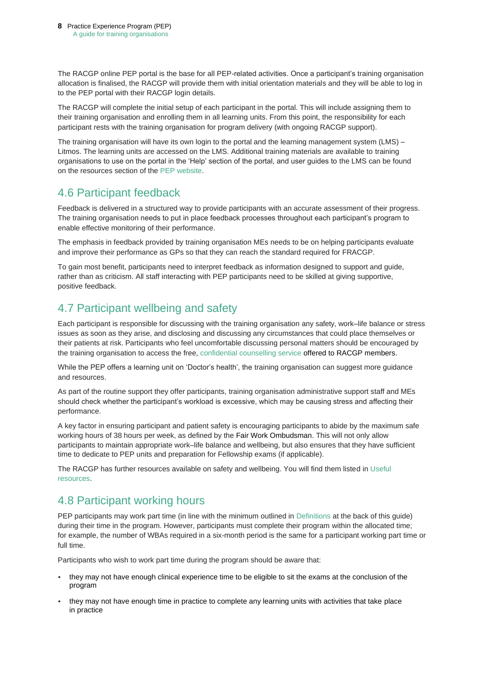The RACGP online PEP portal is the base for all PEP-related activities. Once a participant's training organisation allocation is finalised, the RACGP will provide them with initial orientation materials and they will be able to log in to the PEP portal with their RACGP login details.

The RACGP will complete the initial setup of each participant in the portal. This will include assigning them to their training organisation and enrolling them in all learning units. From this point, the responsibility for each participant rests with the training organisation for program delivery (with ongoing RACGP support).

The training organisation will have its own login to the portal and the learning management system (LMS) – Litmos. The learning units are accessed on the LMS. Additional training materials are available to training organisations to use on the portal in the 'Help' section of the portal, and user guides to the LMS can be found on the resources section of the [PEP website.](https://www.racgp.org.au/education/imgs/fellowship-pathways/fellowship-programs-for-imgs/practice-experience-program/practice-experience-program-standard-stream/pep-resources)

# <span id="page-13-0"></span>4.6 Participant feedback

Feedback is delivered in a structured way to provide participants with an accurate assessment of their progress. The training organisation needs to put in place feedback processes throughout each participant's program to enable effective monitoring of their performance.

The emphasis in feedback provided by training organisation MEs needs to be on helping participants evaluate and improve their performance as GPs so that they can reach the standard required for FRACGP.

To gain most benefit, participants need to interpret feedback as information designed to support and guide, rather than as criticism. All staff interacting with PEP participants need to be skilled at giving supportive, positive feedback.

# <span id="page-13-1"></span>4.7 Participant wellbeing and safety

Each participant is responsible for discussing with the training organisation any safety, work–life balance or stress issues as soon as they arise, and disclosing and discussing any circumstances that could place themselves or their patients at risk. Participants who feel uncomfortable discussing personal matters should be encouraged by the training organisation to access the free[, confidential counselling service](https://www.racgp.org.au/membership/the-gp-support-program) offered to RACGP members.

While the PEP offers a learning unit on 'Doctor's health', the training organisation can suggest more guidance and resources.

As part of the routine support they offer participants, training organisation administrative support staff and MEs should check whether the participant's workload is excessive, which may be causing stress and affecting their performance.

A key factor in ensuring participant and patient safety is encouraging participants to abide by the maximum safe working hours of 38 hours per week, as defined by th[e Fair Work Ombudsman.](https://www.fairwork.gov.au/how-we-will-help/templates-and-guides/fact-sheets/minimum-workplace-entitlements/maximum-weekly-hours) This will not only allow participants to maintain appropriate work–life balance and wellbeing, but also ensures that they have sufficient time to dedicate to PEP units and preparation for Fellowship exams (if applicable).

The RACGP has further resources available on safety and wellbeing. You will find them listed in [Useful](#page-22-1)  [resources.](#page-22-1)

# <span id="page-13-2"></span>4.8 Participant working hours

PEP participants may work part time (in line with the minimum outlined in [Definitions](#page-23-2) at the back of this guide) during their time in the program. However, participants must complete their program within the allocated time; for example, the number of WBAs required in a six-month period is the same for a participant working part time or full time.

Participants who wish to work part time during the program should be aware that:

- they may not have enough clinical experience time to be eligible to sit the exams at the conclusion of the program
- they may not have enough time in practice to complete any learning units with activities that take place in practice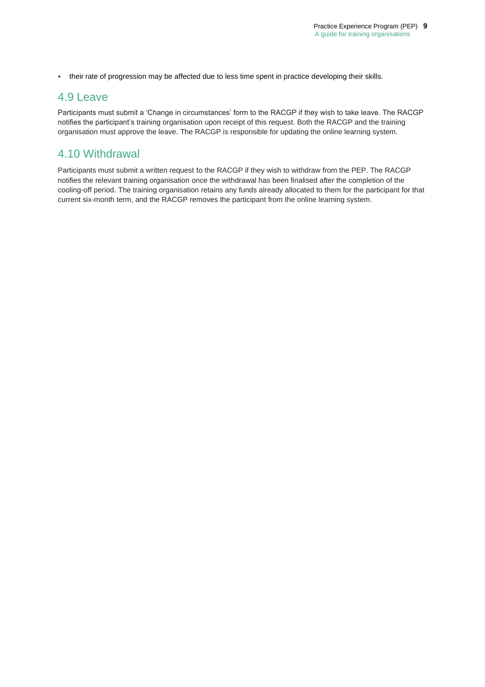• their rate of progression may be affected due to less time spent in practice developing their skills.

### <span id="page-14-0"></span>4.9 Leave

Participants must submit a 'Change in circumstances' form to the RACGP if they wish to take leave. The RACGP notifies the participant's training organisation upon receipt of this request. Both the RACGP and the training organisation must approve the leave. The RACGP is responsible for updating the online learning system.

### <span id="page-14-1"></span>4.10 Withdrawal

<span id="page-14-2"></span>Participants must submit a written request to the RACGP if they wish to withdraw from the PEP. The RACGP notifies the relevant training organisation once the withdrawal has been finalised after the completion of the cooling-off period. The training organisation retains any funds already allocated to them for the participant for that current six-month term, and the RACGP removes the participant from the online learning system.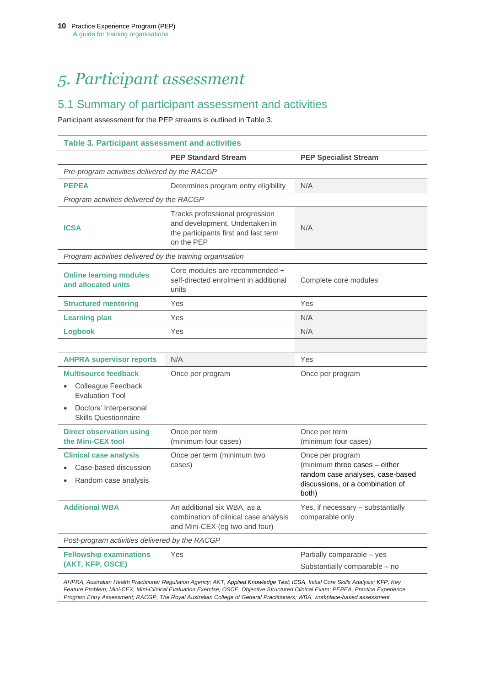# *5. Participant assessment*

# <span id="page-15-0"></span>5.1 Summary of participant assessment and activities

Participant assessment for the PEP streams is outlined in Table 3.

| <b>Table 3. Participant assessment and activities</b>     |                                                                                                                         |                                                                   |  |
|-----------------------------------------------------------|-------------------------------------------------------------------------------------------------------------------------|-------------------------------------------------------------------|--|
|                                                           | <b>PEP Standard Stream</b>                                                                                              | <b>PEP Specialist Stream</b>                                      |  |
| Pre-program activities delivered by the RACGP             |                                                                                                                         |                                                                   |  |
| <b>PEPEA</b>                                              | Determines program entry eligibility                                                                                    | N/A                                                               |  |
| Program activities delivered by the RACGP                 |                                                                                                                         |                                                                   |  |
| <b>ICSA</b>                                               | Tracks professional progression<br>and development. Undertaken in<br>the participants first and last term<br>on the PEP | N/A                                                               |  |
| Program activities delivered by the training organisation |                                                                                                                         |                                                                   |  |
| <b>Online learning modules</b><br>and allocated units     | Core modules are recommended +<br>self-directed enrolment in additional<br>units                                        | Complete core modules                                             |  |
| <b>Structured mentoring</b>                               | Yes                                                                                                                     | Yes                                                               |  |
| <b>Learning plan</b>                                      | Yes                                                                                                                     | N/A                                                               |  |
| Logbook                                                   | Yes                                                                                                                     | N/A                                                               |  |
|                                                           |                                                                                                                         |                                                                   |  |
| <b>AHPRA supervisor reports</b>                           | N/A                                                                                                                     | Yes                                                               |  |
| <b>Multisource feedback</b>                               | Once per program                                                                                                        | Once per program                                                  |  |
| Colleague Feedback<br><b>Evaluation Tool</b>              |                                                                                                                         |                                                                   |  |
| Doctors' Interpersonal<br><b>Skills Questionnaire</b>     |                                                                                                                         |                                                                   |  |
| <b>Direct observation using</b><br>the Mini-CEX tool      | Once per term<br>(minimum four cases)                                                                                   | Once per term<br>(minimum four cases)                             |  |
| <b>Clinical case analysis</b>                             | Once per term (minimum two                                                                                              | Once per program                                                  |  |
| Case-based discussion                                     | cases)                                                                                                                  | (minimum three cases - either<br>random case analyses, case-based |  |
| Random case analysis                                      |                                                                                                                         | discussions, or a combination of<br>both)                         |  |
| <b>Additional WBA</b>                                     | An additional six WBA, as a<br>combination of clinical case analysis<br>and Mini-CEX (eg two and four)                  | Yes, if necessary - substantially<br>comparable only              |  |
| Post-program activities delivered by the RACGP            |                                                                                                                         |                                                                   |  |
| <b>Fellowship examinations</b><br>(AKT, KFP, OSCE)        | Yes                                                                                                                     | Partially comparable - yes<br>Substantially comparable - no       |  |

<span id="page-15-1"></span>*AHPRA, Australian Health Practitioner Regulation Agency; AKT, Applied Knowledge Test; ICSA, Initial Core Skills Analysis; KFP, Key Feature Problem; Mini-CEX, Mini-Clinical Evaluation Exercise; OSCE, Objective Structured Clinical Exam; PEPEA, Practice Experience Program Entry Assessment; RACGP, The Royal Australian College of General Practitioners; WBA, workplace-based assessment*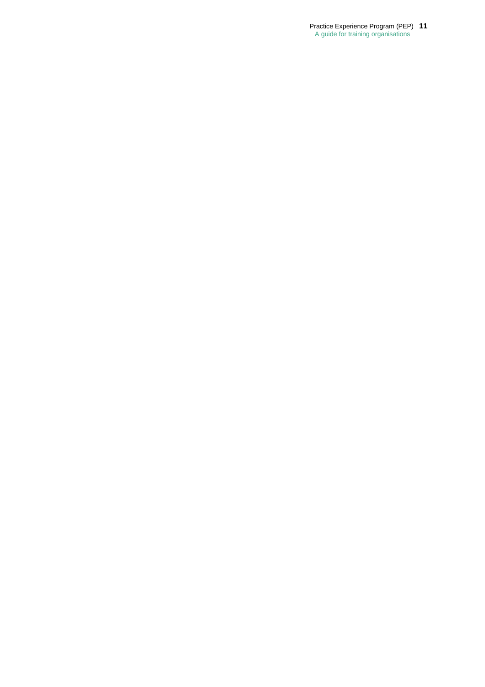Practice Experience Program (PEP) **11** A guide for training organisations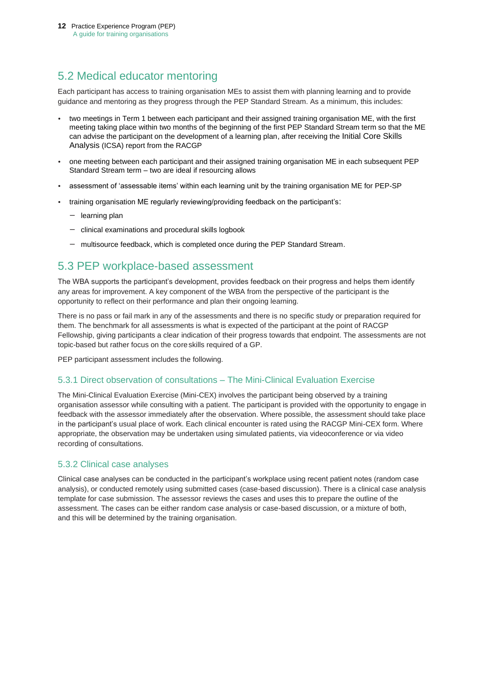# 5.2 Medical educator mentoring

Each participant has access to training organisation MEs to assist them with planning learning and to provide guidance and mentoring as they progress through the PEP Standard Stream. As a minimum, this includes:

- two meetings in Term 1 between each participant and their assigned training organisation ME, with the first meeting taking place within two months of the beginning of the first PEP Standard Stream term so that the ME can advise the participant on the development of a learning plan, after receiving the Initial Core Skills Analysis (ICSA) report from the RACGP
- one meeting between each participant and their assigned training organisation ME in each subsequent PEP Standard Stream term – two are ideal if resourcing allows
- assessment of 'assessable items' within each learning unit by the training organisation ME for PEP-SP
- training organisation ME regularly reviewing/providing feedback on the participant's:
	- − learning plan
	- − clinical examinations and procedural skills logbook
	- − multisource feedback, which is completed once during the PEP Standard Stream.

# <span id="page-17-0"></span>5.3 PEP workplace-based assessment

The WBA supports the participant's development, provides feedback on their progress and helps them identify any areas for improvement. A key component of the WBA from the perspective of the participant is the opportunity to reflect on their performance and plan their ongoing learning.

There is no pass or fail mark in any of the assessments and there is no specific study or preparation required for them. The benchmark for all assessments is what is expected of the participant at the point of RACGP Fellowship, giving participants a clear indication of their progress towards that endpoint. The assessments are not topic-based but rather focus on the coreskills required of a GP.

PEP participant assessment includes the following.

#### 5.3.1 Direct observation of consultations – The Mini-Clinical Evaluation Exercise

The Mini-Clinical Evaluation Exercise (Mini-CEX) involves the participant being observed by a training organisation assessor while consulting with a patient. The participant is provided with the opportunity to engage in feedback with the assessor immediately after the observation. Where possible, the assessment should take place in the participant's usual place of work. Each clinical encounter is rated using the RACGP Mini-CEX form. Where appropriate, the observation may be undertaken using simulated patients, via videoconference or via video recording of consultations.

#### 5.3.2 Clinical case analyses

Clinical case analyses can be conducted in the participant's workplace using recent patient notes (random case analysis), or conducted remotely using submitted cases (case-based discussion). There is a clinical case analysis template for case submission. The assessor reviews the cases and uses this to prepare the outline of the assessment. The cases can be either random case analysis or case-based discussion, or a mixture of both, and this will be determined by the training organisation.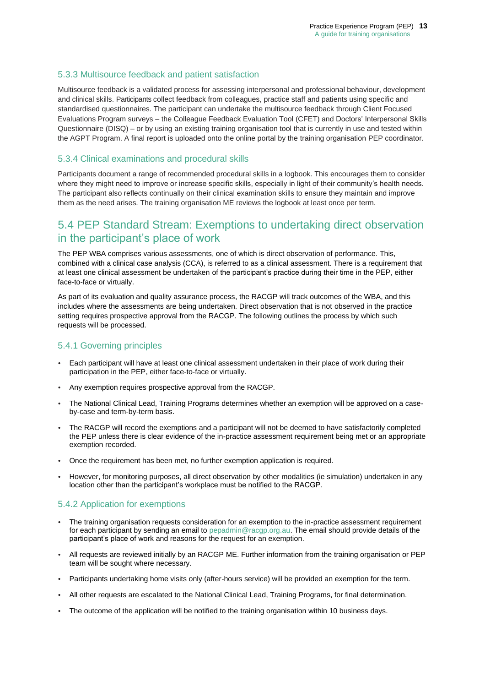#### 5.3.3 Multisource feedback and patient satisfaction

Multisource feedback is a validated process for assessing interpersonal and professional behaviour, development and clinical skills. Participants collect feedback from colleagues, practice staff and patients using specific and standardised questionnaires. The participant can undertake the multisource feedback through Client Focused Evaluations Program surveys – the Colleague Feedback Evaluation Tool (CFET) and Doctors' Interpersonal Skills Questionnaire (DISQ) – or by using an existing training organisation tool that is currently in use and tested within the AGPT Program. A final report is uploaded onto the online portal by the training organisation PEP coordinator.

#### 5.3.4 Clinical examinations and procedural skills

Participants document a range of recommended procedural skills in a logbook. This encourages them to consider where they might need to improve or increase specific skills, especially in light of their community's health needs. The participant also reflects continually on their clinical examination skills to ensure they maintain and improve them as the need arises. The training organisation ME reviews the logbook at least once per term.

### <span id="page-18-0"></span>5.4 PEP Standard Stream: Exemptions to undertaking direct observation in the participant's place of work

The PEP WBA comprises various assessments, one of which is direct observation of performance. This, combined with a clinical case analysis (CCA), is referred to as a clinical assessment. There is a requirement that at least one clinical assessment be undertaken of the participant's practice during their time in the PEP, either face-to-face or virtually.

As part of its evaluation and quality assurance process, the RACGP will track outcomes of the WBA, and this includes where the assessments are being undertaken. Direct observation that is not observed in the practice setting requires prospective approval from the RACGP. The following outlines the process by which such requests will be processed.

#### 5.4.1 Governing principles

- Each participant will have at least one clinical assessment undertaken in their place of work during their participation in the PEP, either face-to-face or virtually.
- Any exemption requires prospective approval from the RACGP.
- The National Clinical Lead, Training Programs determines whether an exemption will be approved on a caseby-case and term-by-term basis.
- The RACGP will record the exemptions and a participant will not be deemed to have satisfactorily completed the PEP unless there is clear evidence of the in-practice assessment requirement being met or an appropriate exemption recorded.
- Once the requirement has been met, no further exemption application is required.
- However, for monitoring purposes, all direct observation by other modalities (ie simulation) undertaken in any location other than the participant's workplace must be notified to the RACGP.

#### 5.4.2 Application for exemptions

- The training organisation requests consideration for an exemption to the in-practice assessment requirement for each participant by sending an email t[o pepadmin@racgp.org.au.](mailto:pepadmin@racgp.org.au) The email should provide details of the participant's place of work and reasons for the request for an exemption.
- All requests are reviewed initially by an RACGP ME. Further information from the training organisation or PEP team will be sought where necessary.
- Participants undertaking home visits only (after-hours service) will be provided an exemption for the term.
- All other requests are escalated to the National Clinical Lead, Training Programs, for final determination.
- The outcome of the application will be notified to the training organisation within 10 business days.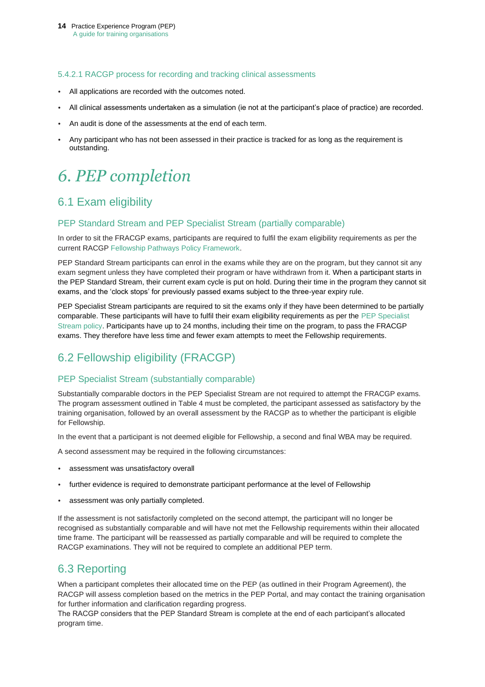#### 5.4.2.1 RACGP process for recording and tracking clinical assessments

- All applications are recorded with the outcomes noted.
- All clinical assessments undertaken as a simulation (ie not at the participant's place of practice) are recorded.
- An audit is done of the assessments at the end of each term.
- Any participant who has not been assessed in their practice is tracked for as long as the requirement is outstanding.

# <span id="page-19-0"></span>*6. PEP completion*

# <span id="page-19-1"></span>6.1 Exam eligibility

#### PEP Standard Stream and PEP Specialist Stream (partially comparable)

In order to sit the FRACGP exams, participants are required to fulfil the exam eligibility requirements as per the current RACGP [Fellowship Pathways Policy Framework.](https://www.racgp.org.au/education/registrars/fellowship-pathways/policy-framework/fellowship-pathways-policy-framework)

PEP Standard Stream participants can enrol in the exams while they are on the program, but they cannot sit any exam segment unless they have completed their program or have withdrawn from it. When a participant starts in the PEP Standard Stream, their current exam cycle is put on hold. During their time in the program they cannot sit exams, and the 'clock stops' for previously passed exams subject to the three-year expiry rule.

PEP Specialist Stream participants are required to sit the exams only if they have been determined to be partially comparable. These participants will have to fulfil their exam eligibility requirements as per the [PEP Specialist](https://www.racgp.org.au/education/imgs/fellowship-pathways/fellowship-programs-for-imgs/practice-experience-program/practice-experience-program-specialist-stream/policies)  [Stream policy.](https://www.racgp.org.au/education/imgs/fellowship-pathways/fellowship-programs-for-imgs/practice-experience-program/practice-experience-program-specialist-stream/policies) Participants have up to 24 months, including their time on the program, to pass the FRACGP exams. They therefore have less time and fewer exam attempts to meet the Fellowship requirements.

# <span id="page-19-2"></span>6.2 Fellowship eligibility (FRACGP)

#### PEP Specialist Stream (substantially comparable)

Substantially comparable doctors in the PEP Specialist Stream are not required to attempt the FRACGP exams. The program assessment outlined in Table 4 must be completed, the participant assessed as satisfactory by the training organisation, followed by an overall assessment by the RACGP as to whether the participant is eligible for Fellowship.

In the event that a participant is not deemed eligible for Fellowship, a second and final WBA may be required.

A second assessment may be required in the following circumstances:

- assessment was unsatisfactory overall
- further evidence is required to demonstrate participant performance at the level of Fellowship
- assessment was only partially completed.

If the assessment is not satisfactorily completed on the second attempt, the participant will no longer be recognised as substantially comparable and will have not met the Fellowship requirements within their allocated time frame. The participant will be reassessed as partially comparable and will be required to complete the RACGP examinations. They will not be required to complete an additional PEP term.

### <span id="page-19-3"></span>6.3 Reporting

When a participant completes their allocated time on the PEP (as outlined in their Program Agreement), the RACGP will assess completion based on the metrics in the PEP Portal, and may contact the training organisation for further information and clarification regarding progress.

The RACGP considers that the PEP Standard Stream is complete at the end of each participant's allocated program time.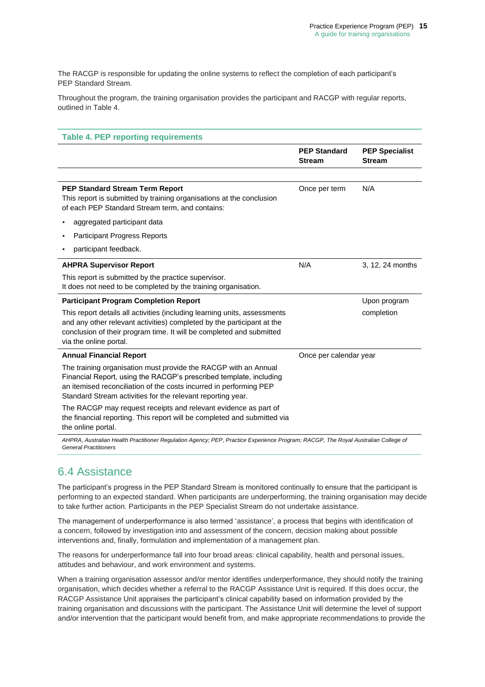The RACGP is responsible for updating the online systems to reflect the completion of each participant's PEP Standard Stream.

Throughout the program, the training organisation provides the participant and RACGP with regular reports, outlined in Table 4.

|                                                                                                                                                                                                                                                                                                              | <b>PEP Standard</b><br><b>Stream</b> | <b>PEP Specialist</b><br><b>Stream</b> |
|--------------------------------------------------------------------------------------------------------------------------------------------------------------------------------------------------------------------------------------------------------------------------------------------------------------|--------------------------------------|----------------------------------------|
| <b>PEP Standard Stream Term Report</b><br>This report is submitted by training organisations at the conclusion<br>of each PEP Standard Stream term, and contains:                                                                                                                                            | Once per term                        | N/A                                    |
| aggregated participant data<br><b>Participant Progress Reports</b><br>participant feedback.                                                                                                                                                                                                                  |                                      |                                        |
| <b>AHPRA Supervisor Report</b><br>This report is submitted by the practice supervisor.<br>It does not need to be completed by the training organisation.                                                                                                                                                     | N/A                                  | 3, 12, 24 months                       |
| <b>Participant Program Completion Report</b><br>This report details all activities (including learning units, assessments<br>and any other relevant activities) completed by the participant at the<br>conclusion of their program time. It will be completed and submitted<br>via the online portal.        |                                      | Upon program<br>completion             |
| <b>Annual Financial Report</b><br>The training organisation must provide the RACGP with an Annual<br>Financial Report, using the RACGP's prescribed template, including<br>an itemised reconciliation of the costs incurred in performing PEP<br>Standard Stream activities for the relevant reporting year. | Once per calendar year               |                                        |
| The RACGP may request receipts and relevant evidence as part of<br>the financial reporting. This report will be completed and submitted via<br>the online portal.<br>AHPRA, Australian Health Practitioner Regulation Agency; PEP, Practice Experience Program; RACGP, The Royal Australian College of       |                                      |                                        |

*AHPRA, Australian Health Practitioner Regulation Agency; PEP, Practice Experience Program; RACGP, The Royal Australian College of General Practitioners*

# <span id="page-20-0"></span>6.4 Assistance

The participant's progress in the PEP Standard Stream is monitored continually to ensure that the participant is performing to an expected standard. When participants are underperforming, the training organisation may decide to take further action. Participants in the PEP Specialist Stream do not undertake assistance.

The management of underperformance is also termed 'assistance', a process that begins with identification of a concern, followed by investigation into and assessment of the concern, decision making about possible interventions and, finally, formulation and implementation of a management plan.

The reasons for underperformance fall into four broad areas: clinical capability, health and personal issues, attitudes and behaviour, and work environment and systems.

When a training organisation assessor and/or mentor identifies underperformance, they should notify the training organisation, which decides whether a referral to the RACGP Assistance Unit is required. If this does occur, the RACGP Assistance Unit appraises the participant's clinical capability based on information provided by the training organisation and discussions with the participant. The Assistance Unit will determine the level of support and/or intervention that the participant would benefit from, and make appropriate recommendations to provide the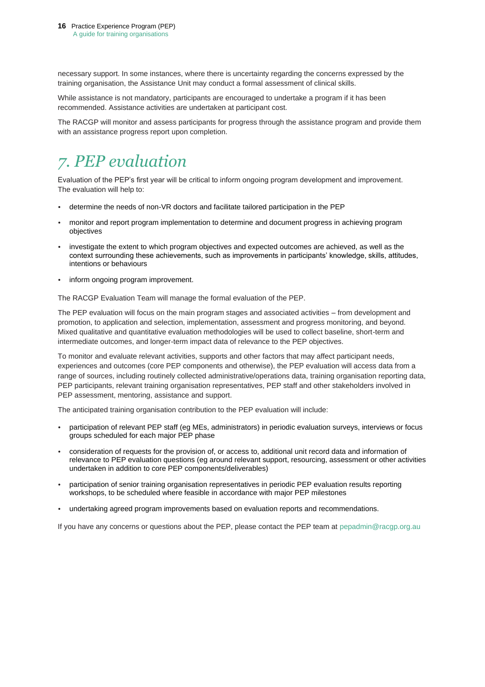necessary support. In some instances, where there is uncertainty regarding the concerns expressed by the training organisation, the Assistance Unit may conduct a formal assessment of clinical skills.

While assistance is not mandatory, participants are encouraged to undertake a program if it has been recommended. Assistance activities are undertaken at participant cost.

The RACGP will monitor and assess participants for progress through the assistance program and provide them with an assistance progress report upon completion.

# <span id="page-21-0"></span>*7. PEP evaluation*

Evaluation of the PEP's first year will be critical to inform ongoing program development and improvement. The evaluation will help to:

- determine the needs of non-VR doctors and facilitate tailored participation in the PEP
- monitor and report program implementation to determine and document progress in achieving program objectives
- investigate the extent to which program objectives and expected outcomes are achieved, as well as the context surrounding these achievements, such as improvements in participants' knowledge, skills, attitudes, intentions or behaviours
- inform ongoing program improvement.

The RACGP Evaluation Team will manage the formal evaluation of the PEP.

The PEP evaluation will focus on the main program stages and associated activities – from development and promotion, to application and selection, implementation, assessment and progress monitoring, and beyond. Mixed qualitative and quantitative evaluation methodologies will be used to collect baseline, short-term and intermediate outcomes, and longer-term impact data of relevance to the PEP objectives.

To monitor and evaluate relevant activities, supports and other factors that may affect participant needs, experiences and outcomes (core PEP components and otherwise), the PEP evaluation will access data from a range of sources, including routinely collected administrative/operations data, training organisation reporting data, PEP participants, relevant training organisation representatives, PEP staff and other stakeholders involved in PEP assessment, mentoring, assistance and support.

The anticipated training organisation contribution to the PEP evaluation will include:

- participation of relevant PEP staff (eg MEs, administrators) in periodic evaluation surveys, interviews or focus groups scheduled for each major PEP phase
- consideration of requests for the provision of, or access to, additional unit record data and information of relevance to PEP evaluation questions (eg around relevant support, resourcing, assessment or other activities undertaken in addition to core PEP components/deliverables)
- participation of senior training organisation representatives in periodic PEP evaluation results reporting workshops, to be scheduled where feasible in accordance with major PEP milestones
- undertaking agreed program improvements based on evaluation reports and recommendations.

If you have any concerns or questions about the PEP, please contact the PEP team a[t pepadmin@racgp.org.au](mailto:pepadmin@racgp.org.au)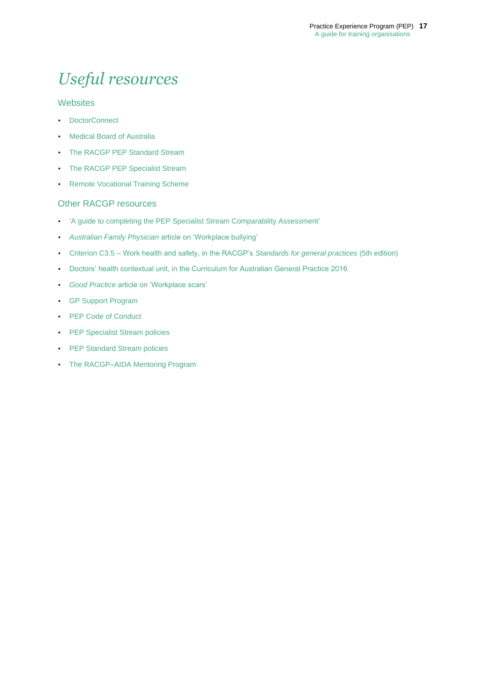# <span id="page-22-0"></span>*Useful resources*

#### **Websites**

- [DoctorConnect](http://www.doctorconnect.gov.au/)
- [Medical Board of Australia](http://www.medicalboard.gov.au/)
- The [RACGP PEP Standard Stream](http://www.racgp.org.au/education/imgs/fellowship-pathways/fellowship-programs-for-imgs/practice-experience-program/practice-experience-program-standard-stream)
- The [RACGP PEP Specialist Stream](http://www.racgp.org.au/education/imgs/fellowship-pathways/fellowship-programs-for-imgs/practice-experience-program/practice-experience-program-specialist-stream)
- <span id="page-22-1"></span>• [Remote Vocational Training Scheme](http://www.rvts.org.au/)

#### Other RACGP resources

- ['A guide to completing the PEP Specialist Stream Comparability Assessment'](https://www.racgp.org.au/education/registrars/fellowship-pathways/policy-framework/guidance-documents/a-guide-to-completing-the-pep-specialist-stream)
- *Australian Family Physician* [article on 'Workplace bullying'](https://www.racgp.org.au/afp/2013/april/workplace-bullying/)
- Criterion C3.5 [Work health and safety, in the RACGP's](https://www.racgp.org.au/download/Documents/Standards/RACGP-Standards-for-general-practices-5th-edition.pdf) *Standards for general practices* (5th edition)
- [Doctors' health contextual unit, in the Curriculum for Australian General Practice 2016](https://www.racgp.org.au/education/education-providers/curriculum/contextual-units/populations/dh16-doctors%E2%80%99-health)
- *Good Practice* [article on 'Workplace scars'](https://www.racgp.org.au/publications/goodpractice/201708/doctors-mental-health/)
- [GP Support Program](https://www.racgp.org.au/yourracgp/membership/offers/wellbeing/)
- [PEP Code of Conduct](https://www.racgp.org.au/education/registrars/fellowship-pathways/policy-framework/policies/practice-experience-program-code-of-conduct)
- [PEP Specialist Stream policies](https://www.racgp.org.au/education/imgs/fellowship-pathways/fellowship-programs-for-imgs/practice-experience-program/practice-experience-program-specialist-stream/policies)
- [PEP Standard Stream policies](https://www.racgp.org.au/education/imgs/fellowship-pathways/fellowship-programs-for-imgs/practice-experience-program/practice-experience-program-standard-stream/pep-policies)
- [The RACGP–AIDA Mentoring Program](https://www.racgp.org.au/the-racgp/faculties/atsi/about-us/partnerships/aida)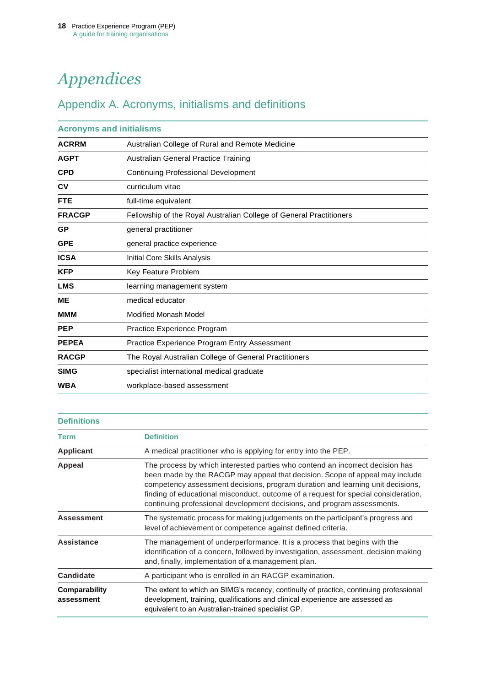# <span id="page-23-0"></span>*Appendices*

# <span id="page-23-1"></span>Appendix A. Acronyms, initialisms and definitions

| <b>Acronyms and initialisms</b> |                                                                     |  |  |
|---------------------------------|---------------------------------------------------------------------|--|--|
| <b>ACRRM</b>                    | Australian College of Rural and Remote Medicine                     |  |  |
| <b>AGPT</b>                     | Australian General Practice Training                                |  |  |
| <b>CPD</b>                      | <b>Continuing Professional Development</b>                          |  |  |
| CV                              | curriculum vitae                                                    |  |  |
| <b>FTE</b>                      | full-time equivalent                                                |  |  |
| <b>FRACGP</b>                   | Fellowship of the Royal Australian College of General Practitioners |  |  |
| GP                              | general practitioner                                                |  |  |
| <b>GPE</b>                      | general practice experience                                         |  |  |
| <b>ICSA</b>                     | Initial Core Skills Analysis                                        |  |  |
| <b>KFP</b>                      | Key Feature Problem                                                 |  |  |
| <b>LMS</b>                      | learning management system                                          |  |  |
| ME                              | medical educator                                                    |  |  |
| <b>MMM</b>                      | <b>Modified Monash Model</b>                                        |  |  |
| <b>PEP</b>                      | Practice Experience Program                                         |  |  |
| <b>PEPEA</b>                    | Practice Experience Program Entry Assessment                        |  |  |
| <b>RACGP</b>                    | The Royal Australian College of General Practitioners               |  |  |
| <b>SIMG</b>                     | specialist international medical graduate                           |  |  |
| <b>WBA</b>                      | workplace-based assessment                                          |  |  |

#### <span id="page-23-2"></span>**Definitions**

| Term                                                                               | <b>Definition</b>                                                                                                                                                                                                                                                                                                                                                                                                |  |
|------------------------------------------------------------------------------------|------------------------------------------------------------------------------------------------------------------------------------------------------------------------------------------------------------------------------------------------------------------------------------------------------------------------------------------------------------------------------------------------------------------|--|
| A medical practitioner who is applying for entry into the PEP.<br><b>Applicant</b> |                                                                                                                                                                                                                                                                                                                                                                                                                  |  |
| <b>Appeal</b>                                                                      | The process by which interested parties who contend an incorrect decision has<br>been made by the RACGP may appeal that decision. Scope of appeal may include<br>competency assessment decisions, program duration and learning unit decisions,<br>finding of educational misconduct, outcome of a request for special consideration,<br>continuing professional development decisions, and program assessments. |  |
| <b>Assessment</b>                                                                  | The systematic process for making judgements on the participant's progress and<br>level of achievement or competence against defined criteria.                                                                                                                                                                                                                                                                   |  |
| <b>Assistance</b>                                                                  | The management of underperformance. It is a process that begins with the<br>identification of a concern, followed by investigation, assessment, decision making<br>and, finally, implementation of a management plan.                                                                                                                                                                                            |  |
| <b>Candidate</b>                                                                   | A participant who is enrolled in an RACGP examination.                                                                                                                                                                                                                                                                                                                                                           |  |
| Comparability<br>assessment                                                        | The extent to which an SIMG's recency, continuity of practice, continuing professional<br>development, training, qualifications and clinical experience are assessed as<br>equivalent to an Australian-trained specialist GP.                                                                                                                                                                                    |  |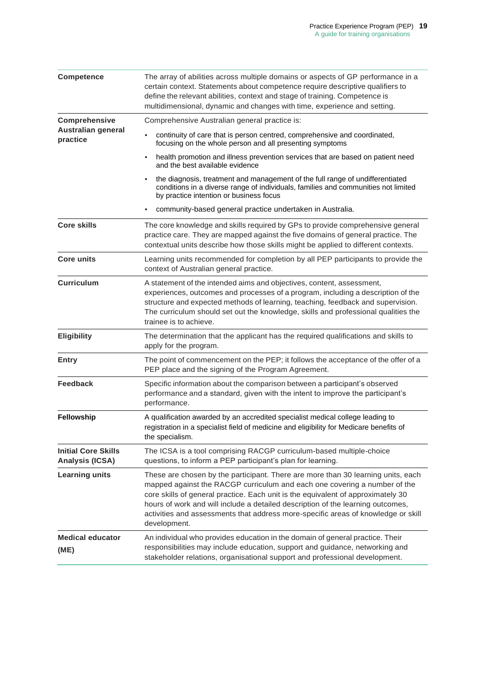| <b>Competence</b>                                    | The array of abilities across multiple domains or aspects of GP performance in a<br>certain context. Statements about competence require descriptive qualifiers to<br>define the relevant abilities, context and stage of training. Competence is<br>multidimensional, dynamic and changes with time, experience and setting.                                                                                                             |
|------------------------------------------------------|-------------------------------------------------------------------------------------------------------------------------------------------------------------------------------------------------------------------------------------------------------------------------------------------------------------------------------------------------------------------------------------------------------------------------------------------|
| Comprehensive<br>Australian general                  | Comprehensive Australian general practice is:<br>continuity of care that is person centred, comprehensive and coordinated,                                                                                                                                                                                                                                                                                                                |
| practice                                             | focusing on the whole person and all presenting symptoms<br>health promotion and illness prevention services that are based on patient need<br>$\bullet$<br>and the best available evidence                                                                                                                                                                                                                                               |
|                                                      | the diagnosis, treatment and management of the full range of undifferentiated<br>conditions in a diverse range of individuals, families and communities not limited<br>by practice intention or business focus                                                                                                                                                                                                                            |
|                                                      | community-based general practice undertaken in Australia.                                                                                                                                                                                                                                                                                                                                                                                 |
| <b>Core skills</b>                                   | The core knowledge and skills required by GPs to provide comprehensive general<br>practice care. They are mapped against the five domains of general practice. The<br>contextual units describe how those skills might be applied to different contexts.                                                                                                                                                                                  |
| <b>Core units</b>                                    | Learning units recommended for completion by all PEP participants to provide the<br>context of Australian general practice.                                                                                                                                                                                                                                                                                                               |
| <b>Curriculum</b>                                    | A statement of the intended aims and objectives, content, assessment,<br>experiences, outcomes and processes of a program, including a description of the<br>structure and expected methods of learning, teaching, feedback and supervision.<br>The curriculum should set out the knowledge, skills and professional qualities the<br>trainee is to achieve.                                                                              |
| <b>Eligibility</b>                                   | The determination that the applicant has the required qualifications and skills to<br>apply for the program.                                                                                                                                                                                                                                                                                                                              |
| <b>Entry</b>                                         | The point of commencement on the PEP; it follows the acceptance of the offer of a<br>PEP place and the signing of the Program Agreement.                                                                                                                                                                                                                                                                                                  |
| <b>Feedback</b>                                      | Specific information about the comparison between a participant's observed<br>performance and a standard, given with the intent to improve the participant's<br>performance.                                                                                                                                                                                                                                                              |
| Fellowship                                           | A qualification awarded by an accredited specialist medical college leading to<br>registration in a specialist field of medicine and eligibility for Medicare benefits of<br>the specialism.                                                                                                                                                                                                                                              |
| <b>Initial Core Skills</b><br><b>Analysis (ICSA)</b> | The ICSA is a tool comprising RACGP curriculum-based multiple-choice<br>questions, to inform a PEP participant's plan for learning.                                                                                                                                                                                                                                                                                                       |
| <b>Learning units</b>                                | These are chosen by the participant. There are more than 30 learning units, each<br>mapped against the RACGP curriculum and each one covering a number of the<br>core skills of general practice. Each unit is the equivalent of approximately 30<br>hours of work and will include a detailed description of the learning outcomes,<br>activities and assessments that address more-specific areas of knowledge or skill<br>development. |
| <b>Medical educator</b><br>(ME)                      | An individual who provides education in the domain of general practice. Their<br>responsibilities may include education, support and guidance, networking and<br>stakeholder relations, organisational support and professional development.                                                                                                                                                                                              |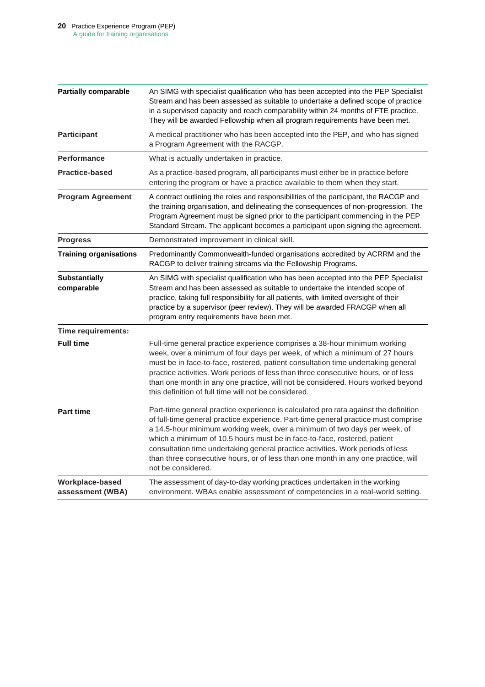| <b>Partially comparable</b>         | An SIMG with specialist qualification who has been accepted into the PEP Specialist<br>Stream and has been assessed as suitable to undertake a defined scope of practice<br>in a supervised capacity and reach comparability within 24 months of FTE practice.<br>They will be awarded Fellowship when all program requirements have been met.                                                                                                                                                                                   |
|-------------------------------------|----------------------------------------------------------------------------------------------------------------------------------------------------------------------------------------------------------------------------------------------------------------------------------------------------------------------------------------------------------------------------------------------------------------------------------------------------------------------------------------------------------------------------------|
| Participant                         | A medical practitioner who has been accepted into the PEP, and who has signed<br>a Program Agreement with the RACGP.                                                                                                                                                                                                                                                                                                                                                                                                             |
| <b>Performance</b>                  | What is actually undertaken in practice.                                                                                                                                                                                                                                                                                                                                                                                                                                                                                         |
| <b>Practice-based</b>               | As a practice-based program, all participants must either be in practice before<br>entering the program or have a practice available to them when they start.                                                                                                                                                                                                                                                                                                                                                                    |
| <b>Program Agreement</b>            | A contract outlining the roles and responsibilities of the participant, the RACGP and<br>the training organisation, and delineating the consequences of non-progression. The<br>Program Agreement must be signed prior to the participant commencing in the PEP<br>Standard Stream. The applicant becomes a participant upon signing the agreement.                                                                                                                                                                              |
| <b>Progress</b>                     | Demonstrated improvement in clinical skill.                                                                                                                                                                                                                                                                                                                                                                                                                                                                                      |
| <b>Training organisations</b>       | Predominantly Commonwealth-funded organisations accredited by ACRRM and the<br>RACGP to deliver training streams via the Fellowship Programs.                                                                                                                                                                                                                                                                                                                                                                                    |
| <b>Substantially</b><br>comparable  | An SIMG with specialist qualification who has been accepted into the PEP Specialist<br>Stream and has been assessed as suitable to undertake the intended scope of<br>practice, taking full responsibility for all patients, with limited oversight of their<br>practice by a supervisor (peer review). They will be awarded FRACGP when all<br>program entry requirements have been met.                                                                                                                                        |
| <b>Time requirements:</b>           |                                                                                                                                                                                                                                                                                                                                                                                                                                                                                                                                  |
| <b>Full time</b>                    | Full-time general practice experience comprises a 38-hour minimum working<br>week, over a minimum of four days per week, of which a minimum of 27 hours<br>must be in face-to-face, rostered, patient consultation time undertaking general<br>practice activities. Work periods of less than three consecutive hours, or of less<br>than one month in any one practice, will not be considered. Hours worked beyond<br>this definition of full time will not be considered.                                                     |
| <b>Part time</b>                    | Part-time general practice experience is calculated pro rata against the definition<br>of full-time general practice experience. Part-time general practice must comprise<br>a 14.5-hour minimum working week, over a minimum of two days per week, of<br>which a minimum of 10.5 hours must be in face-to-face, rostered, patient<br>consultation time undertaking general practice activities. Work periods of less<br>than three consecutive hours, or of less than one month in any one practice, will<br>not be considered. |
| Workplace-based<br>assessment (WBA) | The assessment of day-to-day working practices undertaken in the working<br>environment. WBAs enable assessment of competencies in a real-world setting.                                                                                                                                                                                                                                                                                                                                                                         |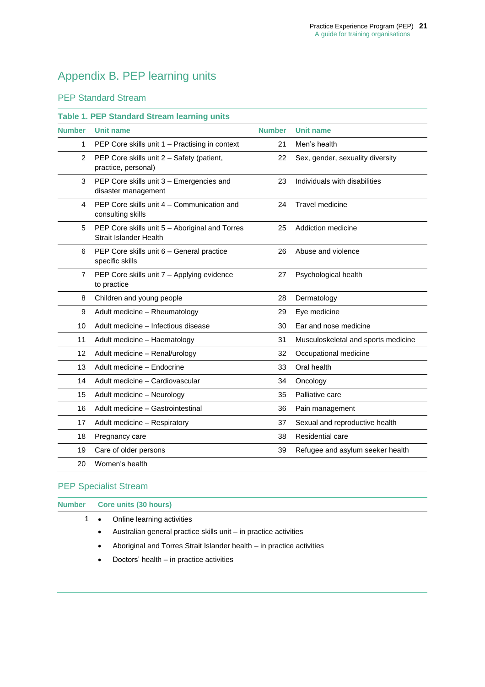# <span id="page-26-0"></span>Appendix B. PEP learning units

#### PEP Standard Stream

|                | Table 1. PEP Standard Stream learning units                                     |               |                                     |
|----------------|---------------------------------------------------------------------------------|---------------|-------------------------------------|
| <b>Number</b>  | <b>Unit name</b>                                                                | <b>Number</b> | <b>Unit name</b>                    |
| 1              | PEP Core skills unit 1 - Practising in context                                  | 21            | Men's health                        |
| $\overline{2}$ | PEP Core skills unit 2 - Safety (patient,<br>practice, personal)                | 22            | Sex, gender, sexuality diversity    |
| 3              | PEP Core skills unit 3 - Emergencies and<br>disaster management                 | 23            | Individuals with disabilities       |
| 4              | PEP Core skills unit 4 - Communication and<br>consulting skills                 | 24            | Travel medicine                     |
| 5              | PEP Core skills unit 5 - Aboriginal and Torres<br><b>Strait Islander Health</b> | 25            | Addiction medicine                  |
| 6              | PEP Core skills unit 6 - General practice<br>specific skills                    | 26            | Abuse and violence                  |
| $\overline{7}$ | PEP Core skills unit 7 - Applying evidence<br>to practice                       | 27            | Psychological health                |
| 8              | Children and young people                                                       | 28            | Dermatology                         |
| 9              | Adult medicine - Rheumatology                                                   | 29            | Eye medicine                        |
| 10             | Adult medicine - Infectious disease                                             | 30            | Ear and nose medicine               |
| 11             | Adult medicine - Haematology                                                    | 31            | Musculoskeletal and sports medicine |
| 12             | Adult medicine - Renal/urology                                                  | 32            | Occupational medicine               |
| 13             | Adult medicine - Endocrine                                                      | 33            | Oral health                         |
| 14             | Adult medicine - Cardiovascular                                                 | 34            | Oncology                            |
| 15             | Adult medicine - Neurology                                                      | 35            | Palliative care                     |
| 16             | Adult medicine - Gastrointestinal                                               | 36            | Pain management                     |
| 17             | Adult medicine - Respiratory                                                    | 37            | Sexual and reproductive health      |
| 18             | Pregnancy care                                                                  | 38            | Residential care                    |
| 19             | Care of older persons                                                           | 39            | Refugee and asylum seeker health    |
| 20             | Women's health                                                                  |               |                                     |

#### PEP Specialist Stream

| <b>Core units (30 hours)</b> |
|------------------------------|
|------------------------------|

1 • Online learning activities

- Australian general practice skills unit in practice activities
- Aboriginal and Torres Strait Islander health in practice activities
- Doctors' health in practice activities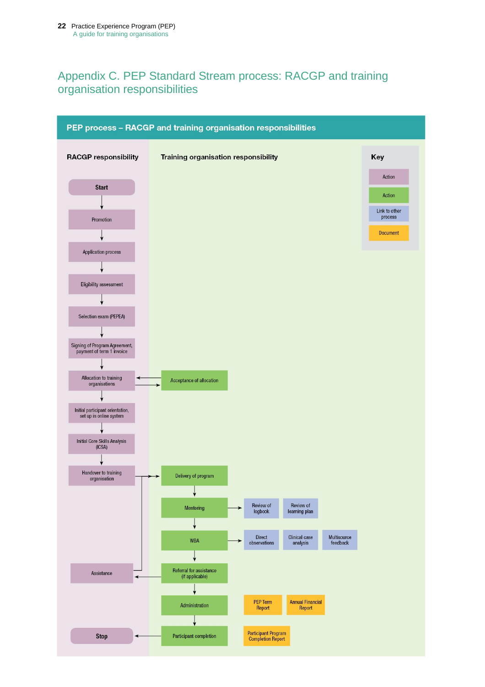# <span id="page-27-0"></span>Appendix C. PEP Standard Stream process: RACGP and training organisation responsibilities